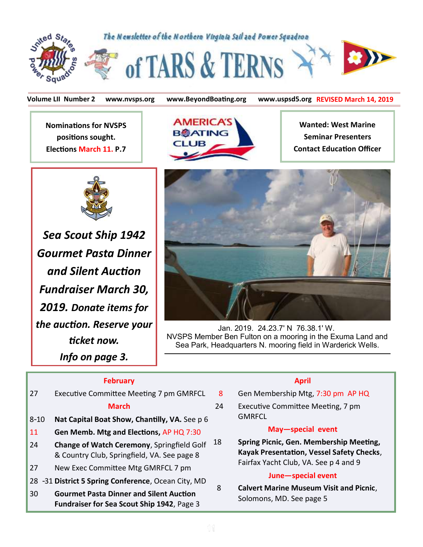

**Volume LII Number 2 www.nvsps.org www.BeyondBoating.org www.uspsd5.org REVISED March 14, 2019**

**Nominations for NVSPS positions sought. Elections March 11. P.7**



*Sea Scout Ship 1942 Gourmet Pasta Dinner and Silent Auction Fundraiser March 30, 2019. Donate items for the auction. Reserve your ticket now. Info on page 3.*



**Wanted: West Marine Seminar Presenters Contact Education Officer**



Jan. 2019. 24.23.7' N 76.38.1' W. NVSPS Member Ben Fulton on a mooring in the Exuma Land and Sea Park, Headquarters N. mooring field in Warderick Wells.

#### **February**

- 27 Executive Committee Meeting 7 pm GMRFCL **March**  8-10 **Nat Capital Boat Show, Chantilly, VA.** See p 6
- 11 **Gen Memb. Mtg and Elections,** AP HQ 7:30
- 24 **Change of Watch Ceremony**, Springfield Golf & Country Club, Springfield, VA. See page 8
- 27 New Exec Committee Mtg GMRFCL 7 pm
- 28 -31 **District 5 Spring Conference**, Ocean City, MD
- 30 **Gourmet Pasta Dinner and Silent Auction Fundraiser for Sea Scout Ship 1942**, Page 3

#### **April**

- 8 Gen Membership Mtg, 7:30 pm AP HQ
- 24 Executive Committee Meeting, 7 pm **GMRFCL**

#### **May—special event**

18 **Spring Picnic, Gen. Membership Meeting, Kayak Presentation, Vessel Safety Checks**, Fairfax Yacht Club, VA. See p 4 and 9

#### **June—special event**

 8 **Calvert Marine Museum Visit and Picnic**, Solomons, MD. See page 5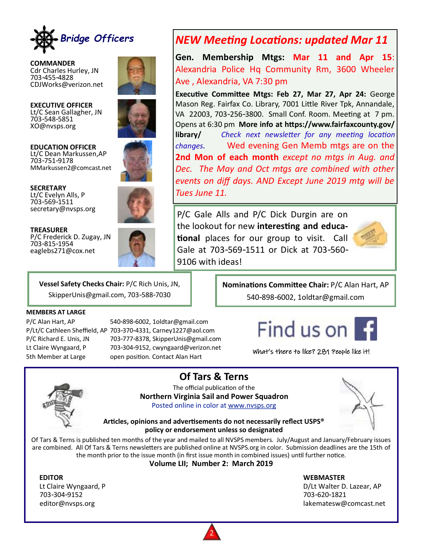

**COMMANDER** Cdr Charles Hurley, JN 703-455-4828 CDJWorks@verizon.net

XO@nvsps.org

**EXECUTIVE OFFICER** Lt/C Sean Gallagher, JN 703-548-5851



**EDUCATION OFFICER** Lt/C Dean Markussen,AP 703-751-9178 MMarkussen2@comcast.net

**SECRETARY** Lt/C Evelyn Alls, P 703-569-1511 secretary@nvsps.org



**TREASURER** P/C Frederick D. Zugay, JN 703-815-1954 eaglebs271@cox.net



## *NEW Meeting Locations: updated Mar 11*

**Gen. Membership Mtgs: Mar 11 and Apr 15**: Alexandria Police Hq Community Rm, 3600 Wheeler Ave , Alexandria, VA 7:30 pm

**Executive Committee Mtgs: Feb 27, Mar 27, Apr 24:** George Mason Reg. Fairfax Co. Library, 7001 Little River Tpk, Annandale, VA 22003, 703-256-3800. Small Conf. Room. Meeting at 7 pm. Opens at 6:30 pm **More info at https://www.fairfaxcounty.gov/ library/** *Check next newsletter for any meeting location changes.* Wed evening Gen Memb mtgs are on the **2nd Mon of each month** *except no mtgs in Aug. and Dec. The May and Oct mtgs are combined with other events on diff days. AND Except June 2019 mtg will be Tues June 11.* 

P/C Gale Alls and P/C Dick Durgin are on the lookout for new **interesting and educational** places for our group to visit. Call Gale at 703-569-1511 or Dick at 703-560- 9106 with ideas!



**Vessel Safety Checks Chair:** P/C Rich Unis, JN, SkipperUnis@gmail.com, 703-588-7030

#### **MEMBERS AT LARGE**

P/C Alan Hart, AP 540-898-6002, 1oldtar@gmail.com P/Lt/C Cathleen Sheffield, AP 703-370-4331, Carney1227@aol.com P/C Richard E. Unis, JN 703-777-8378, SkipperUnis@gmail.com Lt Claire Wyngaard, P 703-304-9152, cwyngaard@verizon.net 5th Member at Large open position. Contact Alan Hart

#### **Nominations Committee Chair:** P/C Alan Hart, AP 540-898-6002, 1oldtar@gmail.com

# Find us on

What's there to like? 281 People like it!



**Of Tars & Terns**

The official publication of the **Northern Virginia Sail and Power Squadron** Posted online in color at [www.nvsps.org](http://www.nvsps.org)



**Articles, opinions and advertisements do not necessarily reflect USPS® policy or endorsement unless so designated**

Of Tars & Terns is published ten months of the year and mailed to all NVSPS members. July/August and January/February issues are combined. All Of Tars & Terns newsletters are published online at NVSPS.org in color. Submission deadlines are the 15th of the month prior to the issue month (in first issue month in combined issues) until further notice.

**Volume LII; Number 2: March 2019** 

703-304-9152 703-620-1821

**EDITOR WEBMASTER**

Lt Claire Wyngaard, P and Communication of the DVLt Walter D. Lazear, AP editor@nvsps.org lakematesw@comcast.net

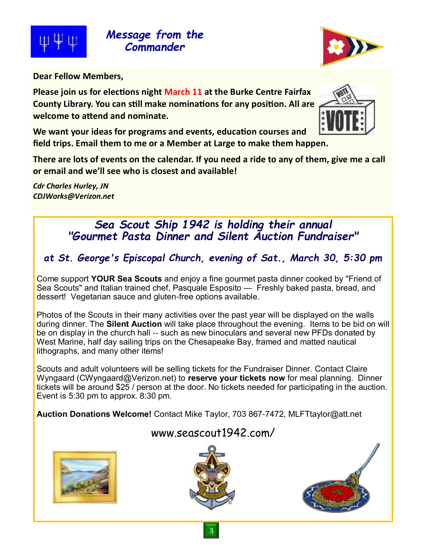

*Message from the Commander*



**Dear Fellow Members,** 

**Please join us for elections night March 11 at the Burke Centre Fairfax County Library. You can still make nominations for any position. All are welcome to attend and nominate.** 



**We want your ideas for programs and events, education courses and field trips. Email them to me or a Member at Large to make them happen.**

**There are lots of events on the calendar. If you need a ride to any of them, give me a call or email and we'll see who is closest and available!**

*Cdr Charles Hurley, JN CDJWorks@Verizon.net*

# *Sea Scout Ship 1942 is holding their annual "Gourmet Pasta Dinner and Silent Auction Fundraiser"*

*at St. George's Episcopal Church, evening of Sat., March 30, 5:30 pm* 

Come support **YOUR Sea Scouts** and enjoy a fine gourmet pasta dinner cooked by "Friend of Sea Scouts" and Italian trained chef, Pasquale Esposito — Freshly baked pasta, bread, and dessert! Vegetarian sauce and gluten-free options available.

Photos of the Scouts in their many activities over the past year will be displayed on the walls during dinner. The **Silent Auction** will take place throughout the evening. Items to be bid on will be on display in the church hall -- such as new binoculars and several new PFDs donated by West Marine, half day sailing trips on the Chesapeake Bay, framed and matted nautical lithographs, and many other items!

Scouts and adult volunteers will be selling tickets for the Fundraiser Dinner. Contact Claire Wyngaard (CWyngaard@Verizon.net) to **reserve your tickets now** for meal planning. Dinner tickets will be around \$25 / person at the door. No tickets needed for participating in the auction. Event is 5:30 pm to approx. 8:30 pm.

**Auction Donations Welcome!** Contact Mike Taylor, 703 867-7472, MLFTtaylor@att.net

### www.seascout1942.com/





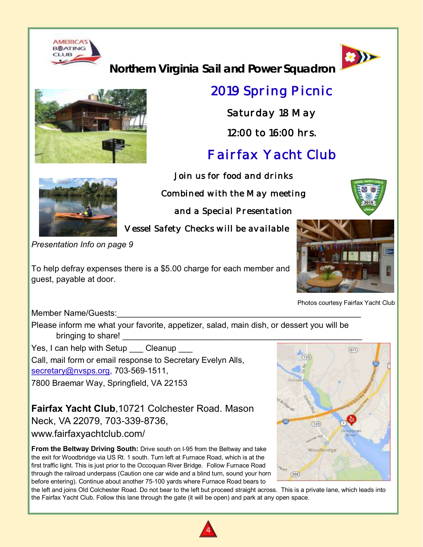



**Northern Virginia Sail and Power Squadron**



# *2019 Spring Picnic*

*Saturday 18 May* 

*12:00 to 16:00 hrs.* 

# *Fairfax Yacht Club*

*Join us for food and drinks Combined with the May meeting* 

*and a Special Presentation* 

*Vessel Safety Checks will be available* 

*Presentation Info on page 9*

To help defray expenses there is a \$5.00 charge for each member and guest, payable at door.



Photos courtesy Fairfax Yacht Club

Member Name/Guests:

Please inform me what your favorite, appetizer, salad, main dish, or dessert you will be bringing to share!

Yes, I can help with Setup Cleanup

Call, mail form or email response to Secretary Evelyn Alls,

[secretary@nvsps.org,](mailto:secretary@nvsps.org) 703-569-1511,

7800 Braemar Way, Springfield, VA 22153

**Fairfax Yacht Club**,10721 Colchester Road. Mason Neck, VA 22079, 703-339-8736, www.fairfaxyachtclub.com/

**From the Beltway Driving South:** Drive south on I-95 from the Beltway and take the exit for Woodbridge via US Rt. 1 south. Turn left at Furnace Road, which is at the first traffic light. This is just prior to the Occoquan River Bridge. Follow Furnace Road through the railroad underpass (Caution one car wide and a blind turn, sound your horn before entering). Continue about another 75-100 yards where Furnace Road bears to



the left and joins Old Colchester Road. Do not bear to the left but proceed straight across. This is a private lane, which leads into the Fairfax Yacht Club. Follow this lane through the gate (it will be open) and park at any open space.



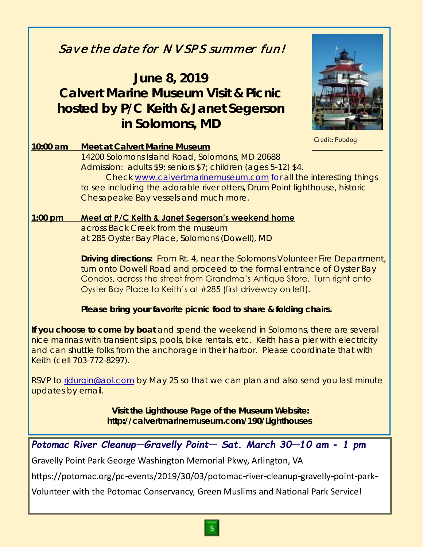# *Save the date for NVSPS summer fun!*  **June 8, 2019 Calvert Marine Museum Visit & Picnic hosted by P/C Keith & Janet Segerson in Solomons, MD 10:00 am Meet at Calvert Marine Museum** 14200 Solomons Island Road, Solomons, MD 20688 Admission: adults \$9; seniors \$7; children (ages 5-12) \$4. Check [www.calvertmarinemuseum.com](http://www.calvertmarinemuseum.com) for all the interesting things to see including the adorable river otters, Drum Point lighthouse, historic Chesapeake Bay vessels and much more. **1:00 pm Meet at P/C Keith & Janet Segerson's weekend home** across Back Creek from the museum at 285 Oyster Bay Place, Solomons (Dowell), MD **Driving directions:** From Rt. 4, near the Solomons Volunteer Fire Department, turn onto Dowell Road and proceed to the formal entrance of Oyster Bay Condos, across the street from Grandma's Antique Store. Turn right onto Oyster Bay Place to Keith's at #285 (first driveway on left). **Please bring your favorite picnic food to share & folding chairs. If you choose to come by boat** and spend the weekend in Solomons, there are several nice marinas with transient slips, pools, bike rentals, etc. Keith has a pier with electricity and can shuttle folks from the anchorage in their harbor. Please coordinate that with Keith (cell 703-772-8297). RSVP to ridurgin@aol.com by May 25 so that we can plan and also send you last minute updates by email. **Visit the Lighthouse Page of the Museum Website: http://calvertmarinemuseum.com/190/Lighthouses** Credit: Pubdog *Potomac River Cleanup—Gravelly Point— Sat. March 30—10 am - 1 pm* Gravelly Point Park George Washington Memorial Pkwy, Arlington, VA https://potomac.org/pc-events/2019/30/03/potomac-river-cleanup-gravelly-point-park-Volunteer with the Potomac Conservancy, Green Muslims and National Park Service!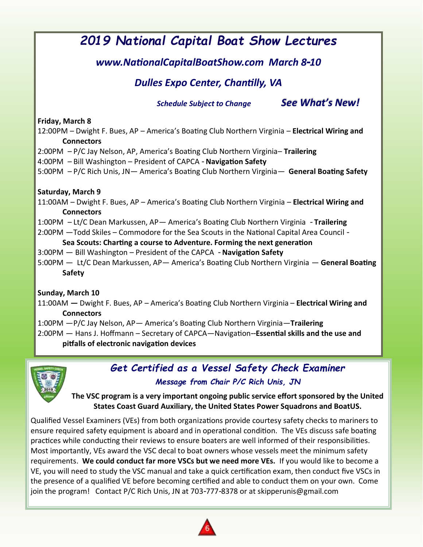# *2019 National Capital Boat Show Lectures*

### *www.NationalCapitalBoatShow.com March 8-10*

### *Dulles Expo Center, Chantilly, VA*

*Schedule Subject to Change See What's New!*

#### **Friday, March 8**

12:00PM – Dwight F. Bues, AP – America's Boating Club Northern Virginia – **Electrical Wiring and Connectors**

- 2:00PM P/C Jay Nelson, AP, America's Boating Club Northern Virginia– **Trailering**
- 4:00PM Bill Washington President of CAPCA **Navigation Safety**

5:00PM – P/C Rich Unis, JN— America's Boating Club Northern Virginia— **General Boating Safety** 

#### **Saturday, March 9**

11:00AM – Dwight F. Bues, AP – America's Boating Club Northern Virginia – **Electrical Wiring and Connectors** 

1:00PM – Lt/C Dean Markussen, AP— America's Boating Club Northern Virginia - **Trailering**

2:00PM —Todd Skiles – Commodore for the Sea Scouts in the National Capital Area Council -

#### **Sea Scouts: Charting a course to Adventure. Forming the next generation**

3:00PM — Bill Washington – President of the CAPCA - **Navigation Safety** 

5:00PM — Lt/C Dean Markussen, AP— America's Boating Club Northern Virginia — **General Boating Safety** 

#### **Sunday, March 10**

11:00AM **—** Dwight F. Bues, AP – America's Boating Club Northern Virginia – **Electrical Wiring and Connectors** 

1:00PM —P/C Jay Nelson, AP— America's Boating Club Northern Virginia—**Trailering** 2:00PM — Hans J. Hoffmann – Secretary of CAPCA—Navigation--**Essential skills and the use and** 

**pitfalls of electronic navigation devices** 



### *Get Certified as a Vessel Safety Check Examiner Message from Chair P/C Rich Unis, JN*

**The VSC program is a very important ongoing public service effort sponsored by the United States Coast Guard Auxiliary, the United States Power Squadrons and BoatUS.**

Qualified Vessel Examiners (VEs) from both organizations provide courtesy safety checks to mariners to ensure required safety equipment is aboard and in operational condition. The VEs discuss safe boating practices while conducting their reviews to ensure boaters are well informed of their responsibilities. Most importantly, VEs award the VSC decal to boat owners whose vessels meet the minimum safety requirements. **We could conduct far more VSCs but we need more VEs.** If you would like to become a VE, you will need to study the VSC manual and take a quick certification exam, then conduct five VSCs in the presence of a qualified VE before becoming certified and able to conduct them on your own. Come join the program! Contact P/C Rich Unis, JN at 703-777-8378 or at skipperunis@gmail.com

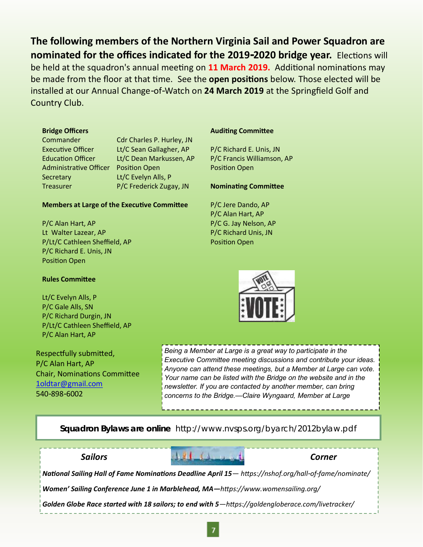**The following members of the Northern Virginia Sail and Power Squadron are nominated for the offices indicated for the 2019-2020 bridge year.** Elections will be held at the squadron's annual meeting on **11 March 2019.** Additional nominations may be made from the floor at that time. See the **open positions** below. Those elected will be installed at our Annual Change-of-Watch on **24 March 2019** at the Springfield Golf and Country Club.

#### **Bridge Officers**

Administrative Officer Position Open Secretary Lt/C Evelyn Alls, P

Commander Cdr Charles P. Hurley, JN Executive Officer Lt/C Sean Gallagher, AP Education Officer Lt/C Dean Markussen, AP Treasurer P/C Frederick Zugay, JN

#### **Members at Large of the Executive Committee**

P/C Alan Hart, AP Lt Walter Lazear, AP P/Lt/C Cathleen Sheffield, AP P/C Richard E. Unis, JN Position Open

#### **Rules Committee**

Lt/C Evelyn Alls, P P/C Gale Alls, SN P/C Richard Durgin, JN P/Lt/C Cathleen Sheffield, AP P/C Alan Hart, AP

Respectfully submitted, P/C Alan Hart, AP Chair, Nominations Committee [1oldtar@gmail.com](mailto:1oldtar@gmail.com) 540-898-6002

#### **Auditing Committee**

P/C Richard E. Unis, JN P/C Francis Williamson, AP Position Open

#### **Nominating Committee**

P/C Jere Dando, AP P/C Alan Hart, AP P/C G. Jay Nelson, AP P/C Richard Unis, JN Position Open



*Being a Member at Large is a great way to participate in the Executive Committee meeting discussions and contribute your ideas. Anyone can attend these meetings, but a Member at Large can vote. Your name can be listed with the Bridge on the website and in the newsletter. If you are contacted by another member, can bring concerns to the Bridge.—Claire Wyngaard, Member at Large*

#### **Squadron Bylaws are online** http://www.nvsps.org/byarch/2012bylaw.pdf

*Sailors Corner National Sailing Hall of Fame Nominations Deadline April 15— https://nshof.org/hall-of-fame/nominate/ Women' Sailing Conference June 1 in Marblehead, MA—https://www.womensailing.org/ Golden Globe Race started with 18 sailors; to end with 5—https://goldengloberace.com/livetracker/*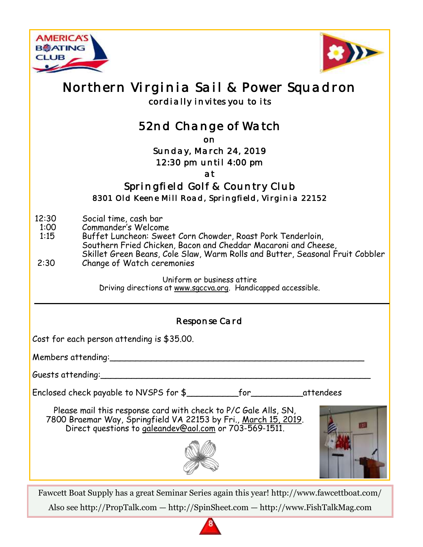



# *Northern Virginia Sail & Power Squadron cordially invites you to its*

# *52nd Change of Watch*

*on* 

#### *Sunday, March 24, 2019 12:30 pm until 4:00 pm*

*at* 

*Springfield Golf & Country Club 8301 Old Keene Mill Road, Springfield, Virginia 22152* 

- 12:30 Social time, cash bar
- 1:00 Commander's Welcome
- 1:15 Buffet Luncheon: Sweet Corn Chowder, Roast Pork Tenderloin, Southern Fried Chicken, Bacon and Cheddar Macaroni and Cheese,
- Skillet Green Beans, Cole Slaw, Warm Rolls and Butter, Seasonal Fruit Cobbler<br>2:30 Change of Watch ceremonies Change of Watch ceremonies

Uniform or business attire Driving directions at [www.sgccva.org.](http://www.sgccva.org) Handicapped accessible.

*Response Card* 

Cost for each person attending is \$35.00.

Members attending:\_\_\_\_\_\_\_\_\_\_\_\_\_\_\_\_\_\_\_\_\_\_\_\_\_\_\_\_\_\_\_\_\_\_\_\_\_\_\_\_\_\_\_\_\_\_\_\_\_

Guests attending:\_\_\_\_\_\_\_\_\_\_\_\_\_\_\_\_\_\_\_\_\_\_\_\_\_\_\_\_\_\_\_\_\_\_\_\_\_\_\_\_\_\_\_\_\_\_\_\_\_\_\_\_

Enclosed check payable to NVSPS for \$\_\_\_\_\_\_\_\_\_\_for\_\_\_\_\_\_\_\_\_\_attendees

Please mail this response card with check to P/C Gale Alls, SN, 7800 Braemar Way, Springfield VA 22153 by Fri., March 15, 2019. Direct questions to [galeandev@aol.com](mailto:galeandev@aol.com) or 703-569-1511.



Fawcett Boat Supply has a great Seminar Series again this year! http://www.fawcettboat.com/ Also see http://PropTalk.com — http://SpinSheet.com — http://www.FishTalkMag.com

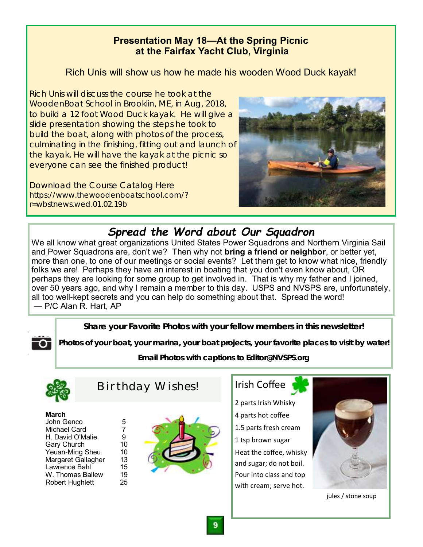### **Presentation May 18—At the Spring Picnic at the Fairfax Yacht Club, Virginia**

### Rich Unis will show us how he made his wooden Wood Duck kayak!

Rich Unis will discuss the course he took at the WoodenBoat School in Brooklin, ME, in Aug, 2018, to build a 12 foot Wood Duck kayak. He will give a slide presentation showing the steps he took to build the boat, along with photos of the process, culminating in the finishing, fitting out and launch of the kayak. He will have the kayak at the picnic so everyone can see the finished product!

Download the Course Catalog Here https://www.thewoodenboatschool.com/? r=wbstnews.wed.01.02.19b



# *Spread the Word about Our Squadron*

We all know what great organizations United States Power Squadrons and Northern Virginia Sail and Power Squadrons are, don't we? Then why not **bring a friend or neighbor**, or better yet, more than one, to one of our meetings or social events? Let them get to know what nice, friendly folks we are! Perhaps they have an interest in boating that you don't even know about, OR perhaps they are looking for some group to get involved in. That is why my father and I joined, over 50 years ago, and why I remain a member to this day. USPS and NVSPS are, unfortunately, all too well-kept secrets and you can help do something about that. Spread the word! — P/C Alan R. Hart, AP

**Share your Favorite Photos with your fellow members in this newsletter!**

**Photos of your boat, your marina, your boat projects, your favorite places to visit by water!**

**Email Photos with captions to Editor@NVSPS.org**



Ο

*Birthday Wishes!*

#### **March**

| John Genco             | 5  |
|------------------------|----|
| <b>Michael Card</b>    | 7  |
| H. David O'Malie       | 9  |
| <b>Gary Church</b>     | 10 |
| Yeuan-Ming Sheu        | 10 |
| Margaret Gallagher     | 13 |
| Lawrence Bahl          | 15 |
| W. Thomas Ballew       | 19 |
| <b>Robert Hughlett</b> | 25 |
|                        |    |



### Irish Coffee

2 parts Irish Whisky 4 parts hot coffee 1.5 parts fresh cream 1 tsp brown sugar Heat the coffee, whisky and sugar; do not boil. Pour into class and top with cream; serve hot.



jules / stone soup